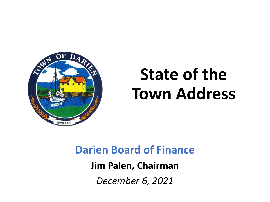

# **State of the Town Address**

## **Darien Board of Finance**

**Jim Palen, Chairman** 

*December 6, 2021*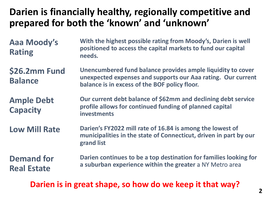#### **Darien is financially healthy, regionally competitive and prepared for both the 'known' and 'unknown'**

| Aaa Moody's<br><b>Rating</b>            | With the highest possible rating from Moody's, Darien is well<br>positioned to access the capital markets to fund our capital<br>needs.                                      |
|-----------------------------------------|------------------------------------------------------------------------------------------------------------------------------------------------------------------------------|
| \$26.2mm Fund<br><b>Balance</b>         | Unencumbered fund balance provides ample liquidity to cover<br>unexpected expenses and supports our Aaa rating. Our current<br>balance is in excess of the BOF policy floor. |
| <b>Ample Debt</b><br><b>Capacity</b>    | Our current debt balance of \$62mm and declining debt service<br>profile allows for continued funding of planned capital<br><b>investments</b>                               |
| <b>Low Mill Rate</b>                    | Darien's FY2022 mill rate of 16.84 is among the lowest of<br>municipalities in the state of Connecticut, driven in part by our<br>grand list                                 |
| <b>Demand for</b><br><b>Real Estate</b> | Darien continues to be a top destination for families looking for<br>a suburban experience within the greater a NY Metro area                                                |

**Darien is in great shape, so how do we keep it that way?**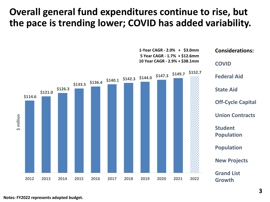#### **Overall general fund expenditures continue to rise, but the pace is trending lower; COVID has added variability.**

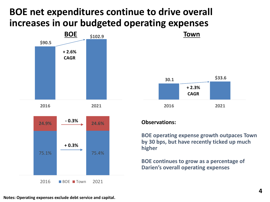#### **BOE net expenditures continue to drive overall increases in our budgeted operating expenses**





#### **Observations:**

**BOE operating expense growth outpaces Town by 30 bps, but have recently ticked up much higher**

**BOE continues to grow as a percentage of Darien's overall operating expenses**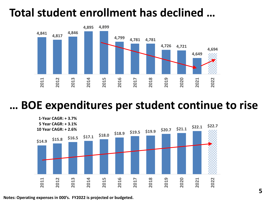## **Total student enrollment has declined …**



## **… BOE expenditures per student continue to rise**



**Notes: Operating expenses in 000's. FY2022 is projected or budgeted.**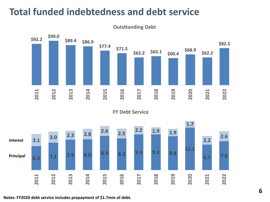#### **Total funded indebtedness and debt service**



**Outsttanding Debt**





**Notes: FY2020 debt service includes prepayment of \$1.7mm of debt.**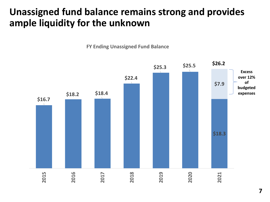#### **Unassigned fund balance remains strong and provides ample liquidity for the unknown**

**FY Ending Unassigned Fund Balance**

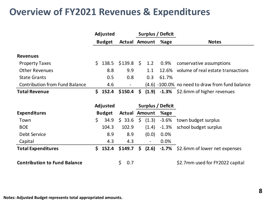#### **Overview of FY2021 Revenues & Expenditures**

|                                       | Adjusted      |         |                  | Surplus / Deficit    |                          |         |                                                 |
|---------------------------------------|---------------|---------|------------------|----------------------|--------------------------|---------|-------------------------------------------------|
|                                       | <b>Budget</b> |         |                  | <b>Actual Amount</b> |                          | %age    | <b>Notes</b>                                    |
|                                       |               |         |                  |                      |                          |         |                                                 |
| <b>Revenues</b>                       |               |         |                  |                      |                          |         |                                                 |
| <b>Property Taxes</b>                 | Ś.            | 138.5   | $$139.8 \t$ 1.2$ |                      |                          | 0.9%    | conservative assumptions                        |
| <b>Other Revenues</b>                 |               | 8.8     | 9.9              |                      | 1.1                      |         | 12.6% volume of real estate transactions        |
| <b>State Grants</b>                   |               | 0.5     | 0.8              |                      | 0.3                      | 61.7%   |                                                 |
| <b>Contribution from Fund Balance</b> |               | 4.6     |                  |                      |                          |         | (4.6) -100.0% no need to draw from fund balance |
| <b>Total Revenue</b>                  |               | \$152.4 | \$150.4          | \$                   | (1.9)                    |         | -1.3% \$2.6mm of higher revenues                |
|                                       |               |         |                  |                      |                          |         |                                                 |
|                                       | Adjusted      |         |                  | Surplus / Deficit    |                          |         |                                                 |
| <b>Expenditures</b>                   | <b>Budget</b> |         |                  | <b>Actual Amount</b> |                          | %age    |                                                 |
| Town                                  | \$.           | 34.9    | \$33.6           |                      | 5(1.3)                   | $-3.6%$ | town budget surplus                             |
| <b>BOE</b>                            |               | 104.3   | 102.9            |                      | (1.4)                    | $-1.3%$ | school budget surplus                           |
| <b>Debt Service</b>                   |               | 8.9     | 8.9              |                      | (0.0)                    | 0.0%    |                                                 |
| Capital                               |               | 4.3     | 4.3              |                      | $\overline{\phantom{a}}$ | 0.0%    |                                                 |
| <b>Total Expenditures</b>             | \$.           | 152.4   | \$149.7          | \$                   | (2.6)                    |         | -1.7% \$2.6mm of lower net expenses             |
|                                       |               |         |                  |                      |                          |         |                                                 |
| <b>Contribution to Fund Balance</b>   |               |         | \$<br>0.7        |                      |                          |         | \$2.7mm used for FY2022 capital                 |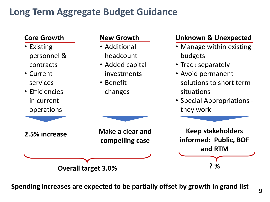#### **Long Term Aggregate Budget Guidance**

#### **Core Growth**

- Existing personnel & contracts
- Current services
- Efficiencies in current operations

#### **New Growth**

- Additional headcount
- Added capital investments
- Benefit changes

#### **Unknown & Unexpected**

- Manage within existing budgets
- Track separately
- Avoid permanent solutions to short term situations
- Special Appropriations they work

**2.5% increase Overall target 3.0% Make a clear and compelling case Keep stakeholders informed: Public, BOF and RTM ? %**

**Spending increases are expected to be partially offset by growth in grand list**